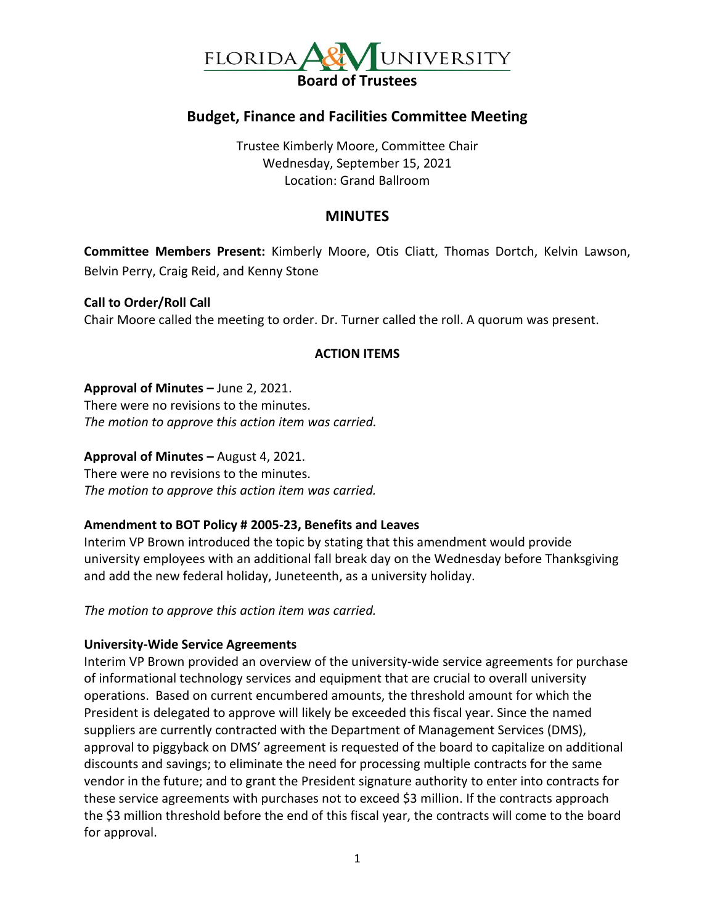

## **Budget, Finance and Facilities Committee Meeting**

Trustee Kimberly Moore, Committee Chair Wednesday, September 15, 2021 Location: Grand Ballroom

### **MINUTES**

**Committee Members Present:** Kimberly Moore, Otis Cliatt, Thomas Dortch, Kelvin Lawson, Belvin Perry, Craig Reid, and Kenny Stone

**Call to Order/Roll Call** Chair Moore called the meeting to order. Dr. Turner called the roll. A quorum was present.

#### **ACTION ITEMS**

**Approval of Minutes –** June 2, 2021.

There were no revisions to the minutes. *The motion to approve this action item was carried.*

**Approval of Minutes –** August 4, 2021.

There were no revisions to the minutes. *The motion to approve this action item was carried.*

#### **Amendment to BOT Policy # 2005-23, Benefits and Leaves**

Interim VP Brown introduced the topic by stating that this amendment would provide university employees with an additional fall break day on the Wednesday before Thanksgiving and add the new federal holiday, Juneteenth, as a university holiday.

*The motion to approve this action item was carried.*

#### **University-Wide Service Agreements**

Interim VP Brown provided an overview of the university-wide service agreements for purchase of informational technology services and equipment that are crucial to overall university operations. Based on current encumbered amounts, the threshold amount for which the President is delegated to approve will likely be exceeded this fiscal year. Since the named suppliers are currently contracted with the Department of Management Services (DMS), approval to piggyback on DMS' agreement is requested of the board to capitalize on additional discounts and savings; to eliminate the need for processing multiple contracts for the same vendor in the future; and to grant the President signature authority to enter into contracts for these service agreements with purchases not to exceed \$3 million. If the contracts approach the \$3 million threshold before the end of this fiscal year, the contracts will come to the board for approval.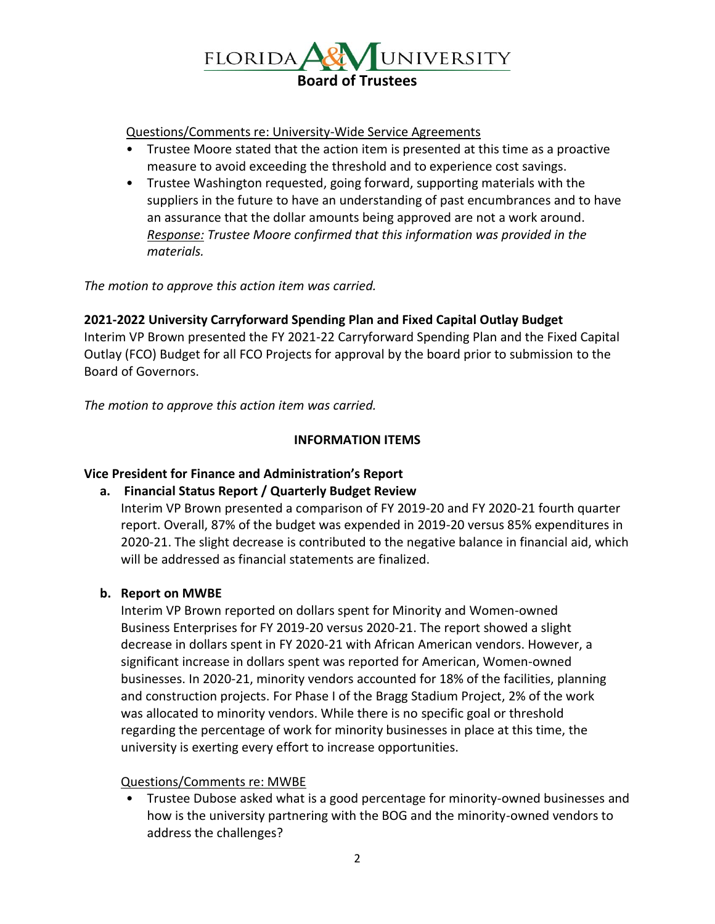

#### Questions/Comments re: University-Wide Service Agreements

- Trustee Moore stated that the action item is presented at this time as a proactive measure to avoid exceeding the threshold and to experience cost savings.
- Trustee Washington requested, going forward, supporting materials with the suppliers in the future to have an understanding of past encumbrances and to have an assurance that the dollar amounts being approved are not a work around. *Response: Trustee Moore confirmed that this information was provided in the materials.*

*The motion to approve this action item was carried.*

### **2021-2022 University Carryforward Spending Plan and Fixed Capital Outlay Budget**

Interim VP Brown presented the FY 2021-22 Carryforward Spending Plan and the Fixed Capital Outlay (FCO) Budget for all FCO Projects for approval by the board prior to submission to the Board of Governors.

*The motion to approve this action item was carried.*

### **INFORMATION ITEMS**

### **Vice President for Finance and Administration's Report**

**a. Financial Status Report / Quarterly Budget Review**

Interim VP Brown presented a comparison of FY 2019-20 and FY 2020-21 fourth quarter report. Overall, 87% of the budget was expended in 2019-20 versus 85% expenditures in 2020-21. The slight decrease is contributed to the negative balance in financial aid, which will be addressed as financial statements are finalized.

### **b. Report on MWBE**

Interim VP Brown reported on dollars spent for Minority and Women-owned Business Enterprises for FY 2019-20 versus 2020-21. The report showed a slight decrease in dollars spent in FY 2020-21 with African American vendors. However, a significant increase in dollars spent was reported for American, Women-owned businesses. In 2020-21, minority vendors accounted for 18% of the facilities, planning and construction projects. For Phase I of the Bragg Stadium Project, 2% of the work was allocated to minority vendors. While there is no specific goal or threshold regarding the percentage of work for minority businesses in place at this time, the university is exerting every effort to increase opportunities.

### Questions/Comments re: MWBE

• Trustee Dubose asked what is a good percentage for minority-owned businesses and how is the university partnering with the BOG and the minority-owned vendors to address the challenges?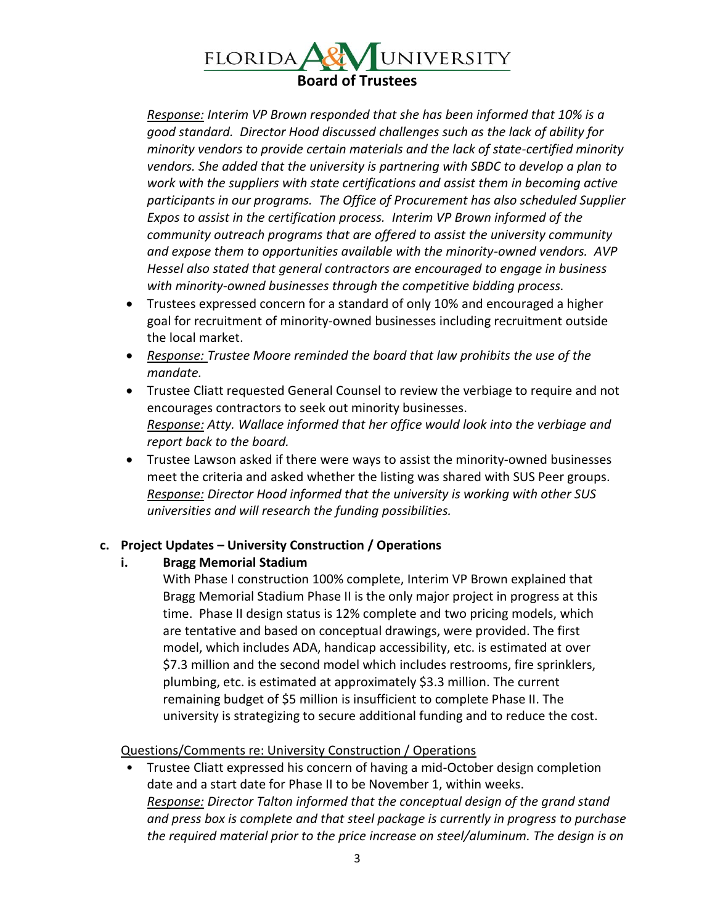## UNIVERSITY FLORIDA **A& Board of Trustees**

*Response: Interim VP Brown responded that she has been informed that 10% is a good standard. Director Hood discussed challenges such as the lack of ability for minority vendors to provide certain materials and the lack of state-certified minority vendors. She added that the university is partnering with SBDC to develop a plan to work with the suppliers with state certifications and assist them in becoming active participants in our programs. The Office of Procurement has also scheduled Supplier Expos to assist in the certification process. Interim VP Brown informed of the community outreach programs that are offered to assist the university community and expose them to opportunities available with the minority-owned vendors. AVP Hessel also stated that general contractors are encouraged to engage in business with minority-owned businesses through the competitive bidding process.*

- Trustees expressed concern for a standard of only 10% and encouraged a higher goal for recruitment of minority-owned businesses including recruitment outside the local market.
- *Response: Trustee Moore reminded the board that law prohibits the use of the mandate.*
- Trustee Cliatt requested General Counsel to review the verbiage to require and not encourages contractors to seek out minority businesses. *Response: Atty. Wallace informed that her office would look into the verbiage and report back to the board.*
- Trustee Lawson asked if there were ways to assist the minority-owned businesses meet the criteria and asked whether the listing was shared with SUS Peer groups. *Response: Director Hood informed that the university is working with other SUS universities and will research the funding possibilities.*

# **c. Project Updates – University Construction / Operations**

# **i. Bragg Memorial Stadium**

With Phase I construction 100% complete, Interim VP Brown explained that Bragg Memorial Stadium Phase II is the only major project in progress at this time. Phase II design status is 12% complete and two pricing models, which are tentative and based on conceptual drawings, were provided. The first model, which includes ADA, handicap accessibility, etc. is estimated at over \$7.3 million and the second model which includes restrooms, fire sprinklers, plumbing, etc. is estimated at approximately \$3.3 million. The current remaining budget of \$5 million is insufficient to complete Phase II. The university is strategizing to secure additional funding and to reduce the cost.

### Questions/Comments re: University Construction / Operations

• Trustee Cliatt expressed his concern of having a mid-October design completion date and a start date for Phase II to be November 1, within weeks. *Response: Director Talton informed that the conceptual design of the grand stand and press box is complete and that steel package is currently in progress to purchase the required material prior to the price increase on steel/aluminum. The design is on*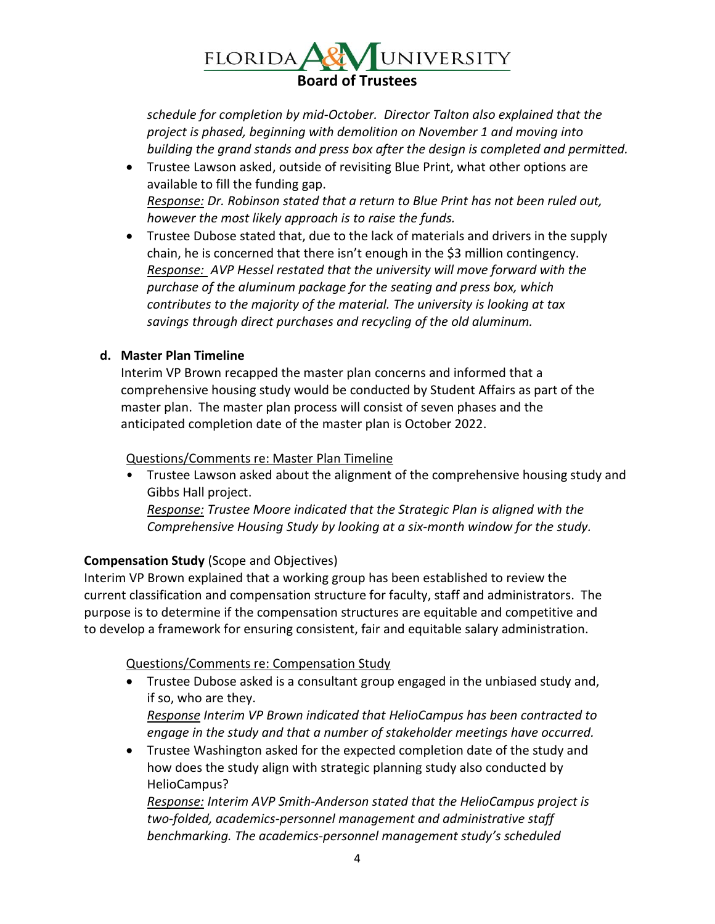## UNIVERSITY FLORIDA **A& Board of Trustees**

*schedule for completion by mid-October. Director Talton also explained that the project is phased, beginning with demolition on November 1 and moving into building the grand stands and press box after the design is completed and permitted.*

- Trustee Lawson asked, outside of revisiting Blue Print, what other options are available to fill the funding gap. *Response: Dr. Robinson stated that a return to Blue Print has not been ruled out, however the most likely approach is to raise the funds.*
- Trustee Dubose stated that, due to the lack of materials and drivers in the supply chain, he is concerned that there isn't enough in the \$3 million contingency. *Response: AVP Hessel restated that the university will move forward with the purchase of the aluminum package for the seating and press box, which contributes to the majority of the material. The university is looking at tax savings through direct purchases and recycling of the old aluminum.*

## **d. Master Plan Timeline**

Interim VP Brown recapped the master plan concerns and informed that a comprehensive housing study would be conducted by Student Affairs as part of the master plan. The master plan process will consist of seven phases and the anticipated completion date of the master plan is October 2022.

### Questions/Comments re: Master Plan Timeline

• Trustee Lawson asked about the alignment of the comprehensive housing study and Gibbs Hall project. *Response: Trustee Moore indicated that the Strategic Plan is aligned with the Comprehensive Housing Study by looking at a six-month window for the study.* 

# **Compensation Study** (Scope and Objectives)

Interim VP Brown explained that a working group has been established to review the current classification and compensation structure for faculty, staff and administrators. The purpose is to determine if the compensation structures are equitable and competitive and to develop a framework for ensuring consistent, fair and equitable salary administration.

# Questions/Comments re: Compensation Study

 Trustee Dubose asked is a consultant group engaged in the unbiased study and, if so, who are they.

*Response Interim VP Brown indicated that HelioCampus has been contracted to engage in the study and that a number of stakeholder meetings have occurred.* 

 Trustee Washington asked for the expected completion date of the study and how does the study align with strategic planning study also conducted by HelioCampus?

*Response: Interim AVP Smith-Anderson stated that the HelioCampus project is two-folded, academics-personnel management and administrative staff benchmarking. The academics-personnel management study's scheduled*